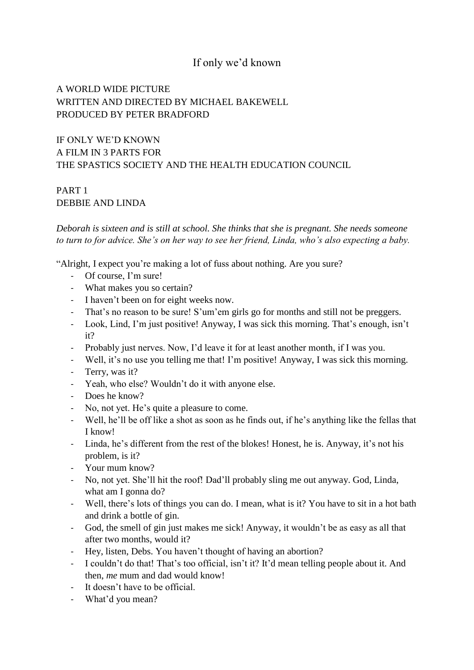## If only we'd known

## A WORLD WIDE PICTURE WRITTEN AND DIRECTED BY MICHAEL BAKEWELL PRODUCED BY PETER BRADFORD

IF ONLY WE'D KNOWN A FILM IN 3 PARTS FOR THE SPASTICS SOCIETY AND THE HEALTH EDUCATION COUNCIL

#### PART 1 DEBBIE AND LINDA

*Deborah is sixteen and is still at school. She thinks that she is pregnant. She needs someone to turn to for advice. She's on her way to see her friend, Linda, who's also expecting a baby.* 

"Alright, I expect you're making a lot of fuss about nothing. Are you sure?

- Of course, I'm sure!
- What makes you so certain?
- I haven't been on for eight weeks now.
- That's no reason to be sure! S'um'em girls go for months and still not be preggers.
- Look, Lind, I'm just positive! Anyway, I was sick this morning. That's enough, isn't it?
- Probably just nerves. Now, I'd leave it for at least another month, if I was you.
- Well, it's no use you telling me that! I'm positive! Anyway, I was sick this morning.
- Terry, was it?
- Yeah, who else? Wouldn't do it with anyone else.
- Does he know?
- No, not yet. He's quite a pleasure to come.
- Well, he'll be off like a shot as soon as he finds out, if he's anything like the fellas that I know!
- Linda, he's different from the rest of the blokes! Honest, he is. Anyway, it's not his problem, is it?
- Your mum know?
- No, not yet. She'll hit the roof! Dad'll probably sling me out anyway. God, Linda, what am I gonna do?
- Well, there's lots of things you can do. I mean, what is it? You have to sit in a hot bath and drink a bottle of gin.
- God, the smell of gin just makes me sick! Anyway, it wouldn't be as easy as all that after two months, would it?
- Hey, listen, Debs. You haven't thought of having an abortion?
- I couldn't do that! That's too official, isn't it? It'd mean telling people about it. And then, *me* mum and dad would know!
- It doesn't have to be official.
- What'd you mean?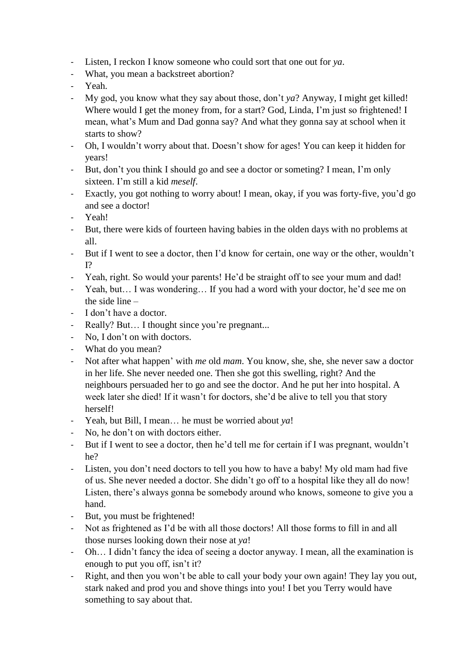- Listen, I reckon I know someone who could sort that one out for *ya*.
- What, you mean a backstreet abortion?
- Yeah.
- My god, you know what they say about those, don't *ya*? Anyway, I might get killed! Where would I get the money from, for a start? God, Linda, I'm just so frightened! I mean, what's Mum and Dad gonna say? And what they gonna say at school when it starts to show?
- Oh, I wouldn't worry about that. Doesn't show for ages! You can keep it hidden for years!
- But, don't you think I should go and see a doctor or someting? I mean, I'm only sixteen. I'm still a kid *meself*.
- Exactly, you got nothing to worry about! I mean, okay, if you was forty-five, you'd go and see a doctor!
- Yeah!
- But, there were kids of fourteen having babies in the olden days with no problems at all.
- But if I went to see a doctor, then I'd know for certain, one way or the other, wouldn't I?
- Yeah, right. So would your parents! He'd be straight off to see your mum and dad!
- Yeah, but… I was wondering… If you had a word with your doctor, he'd see me on the side line –
- I don't have a doctor.
- Really? But... I thought since you're pregnant...
- No, I don't on with doctors.
- What do you mean?
- Not after what happen' with *me* old *mam*. You know, she, she, she never saw a doctor in her life. She never needed one. Then she got this swelling, right? And the neighbours persuaded her to go and see the doctor. And he put her into hospital. A week later she died! If it wasn't for doctors, she'd be alive to tell you that story herself!
- Yeah, but Bill, I mean… he must be worried about *ya*!
- No, he don't on with doctors either.
- But if I went to see a doctor, then he'd tell me for certain if I was pregnant, wouldn't he?
- Listen, you don't need doctors to tell you how to have a baby! My old mam had five of us. She never needed a doctor. She didn't go off to a hospital like they all do now! Listen, there's always gonna be somebody around who knows, someone to give you a hand.
- But, you must be frightened!
- Not as frightened as I'd be with all those doctors! All those forms to fill in and all those nurses looking down their nose at *ya*!
- Oh… I didn't fancy the idea of seeing a doctor anyway. I mean, all the examination is enough to put you off, isn't it?
- Right, and then you won't be able to call your body your own again! They lay you out, stark naked and prod you and shove things into you! I bet you Terry would have something to say about that.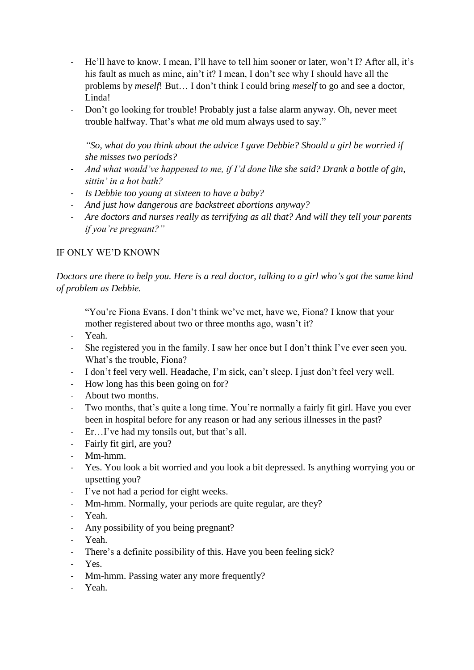- He'll have to know. I mean, I'll have to tell him sooner or later, won't I? After all, it's his fault as much as mine, ain't it? I mean, I don't see why I should have all the problems by *meself*! But… I don't think I could bring *meself* to go and see a doctor, Linda!
- Don't go looking for trouble! Probably just a false alarm anyway. Oh, never meet trouble halfway. That's what *me* old mum always used to say."

*"So, what do you think about the advice I gave Debbie? Should a girl be worried if she misses two periods?* 

- *And what would've happened to me, if I'd done like she said? Drank a bottle of gin, sittin' in a hot bath?*
- *Is Debbie too young at sixteen to have a baby?*
- *And just how dangerous are backstreet abortions anyway?*
- *Are doctors and nurses really as terrifying as all that? And will they tell your parents if you're pregnant?"*

#### IF ONLY WE'D KNOWN

*Doctors are there to help you. Here is a real doctor, talking to a girl who's got the same kind of problem as Debbie.*

"You're Fiona Evans. I don't think we've met, have we, Fiona? I know that your mother registered about two or three months ago, wasn't it?

- Yeah.
- She registered you in the family. I saw her once but I don't think I've ever seen you. What's the trouble, Fiona?
- I don't feel very well. Headache, I'm sick, can't sleep. I just don't feel very well.
- How long has this been going on for?
- About two months.
- Two months, that's quite a long time. You're normally a fairly fit girl. Have you ever been in hospital before for any reason or had any serious illnesses in the past?
- Er…I've had my tonsils out, but that's all.
- Fairly fit girl, are you?
- Mm-hmm.
- Yes. You look a bit worried and you look a bit depressed. Is anything worrying you or upsetting you?
- I've not had a period for eight weeks.
- Mm-hmm. Normally, your periods are quite regular, are they?
- Yeah.
- Any possibility of you being pregnant?
- Yeah.
- There's a definite possibility of this. Have you been feeling sick?
- Yes.
- Mm-hmm. Passing water any more frequently?
- Yeah.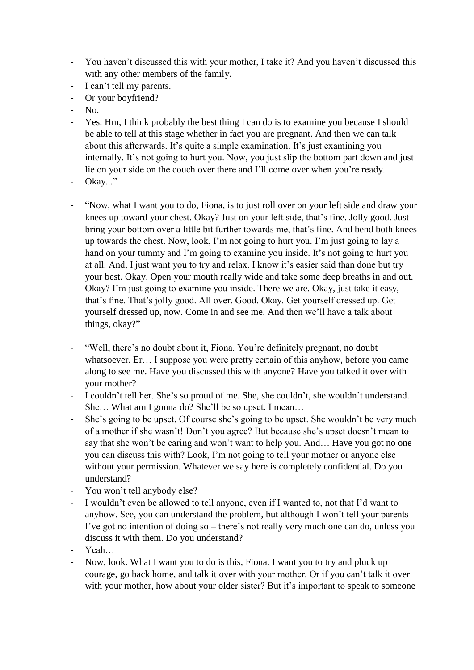- You haven't discussed this with your mother, I take it? And you haven't discussed this with any other members of the family.
- I can't tell my parents.
- Or your boyfriend?
- No.
- Yes. Hm, I think probably the best thing I can do is to examine you because I should be able to tell at this stage whether in fact you are pregnant. And then we can talk about this afterwards. It's quite a simple examination. It's just examining you internally. It's not going to hurt you. Now, you just slip the bottom part down and just lie on your side on the couch over there and I'll come over when you're ready.
- Okay..."
- "Now, what I want you to do, Fiona, is to just roll over on your left side and draw your knees up toward your chest. Okay? Just on your left side, that's fine. Jolly good. Just bring your bottom over a little bit further towards me, that's fine. And bend both knees up towards the chest. Now, look, I'm not going to hurt you. I'm just going to lay a hand on your tummy and I'm going to examine you inside. It's not going to hurt you at all. And, I just want you to try and relax. I know it's easier said than done but try your best. Okay. Open your mouth really wide and take some deep breaths in and out. Okay? I'm just going to examine you inside. There we are. Okay, just take it easy, that's fine. That's jolly good. All over. Good. Okay. Get yourself dressed up. Get yourself dressed up, now. Come in and see me. And then we'll have a talk about things, okay?"
- "Well, there's no doubt about it, Fiona. You're definitely pregnant, no doubt whatsoever. Er… I suppose you were pretty certain of this anyhow, before you came along to see me. Have you discussed this with anyone? Have you talked it over with your mother?
- I couldn't tell her. She's so proud of me. She, she couldn't, she wouldn't understand. She… What am I gonna do? She'll be so upset. I mean…
- She's going to be upset. Of course she's going to be upset. She wouldn't be very much of a mother if she wasn't! Don't you agree? But because she's upset doesn't mean to say that she won't be caring and won't want to help you. And… Have you got no one you can discuss this with? Look, I'm not going to tell your mother or anyone else without your permission. Whatever we say here is completely confidential. Do you understand?
- You won't tell anybody else?
- I wouldn't even be allowed to tell anyone, even if I wanted to, not that I'd want to anyhow. See, you can understand the problem, but although I won't tell your parents – I've got no intention of doing so – there's not really very much one can do, unless you discuss it with them. Do you understand?
- Yeah…
- Now, look. What I want you to do is this, Fiona. I want you to try and pluck up courage, go back home, and talk it over with your mother. Or if you can't talk it over with your mother, how about your older sister? But it's important to speak to someone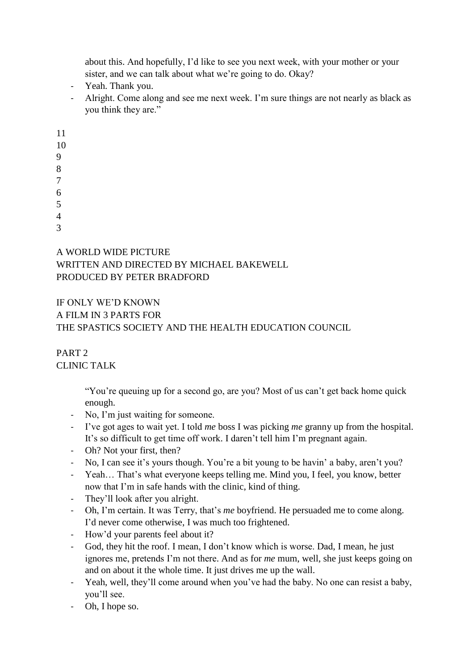about this. And hopefully, I'd like to see you next week, with your mother or your sister, and we can talk about what we're going to do. Okay?

- Yeah. Thank you.
- Alright. Come along and see me next week. I'm sure things are not nearly as black as you think they are."

11

10

9

8

7

6

5

4

3

### A WORLD WIDE PICTURE WRITTEN AND DIRECTED BY MICHAEL BAKEWELL PRODUCED BY PETER BRADFORD

# IF ONLY WE'D KNOWN A FILM IN 3 PARTS FOR THE SPASTICS SOCIETY AND THE HEALTH EDUCATION COUNCIL

### PART 2 CLINIC TALK

"You're queuing up for a second go, are you? Most of us can't get back home quick enough.

- No, I'm just waiting for someone.
- I've got ages to wait yet. I told *me* boss I was picking *me* granny up from the hospital. It's so difficult to get time off work. I daren't tell him I'm pregnant again.
- Oh? Not your first, then?
- No, I can see it's yours though. You're a bit young to be havin' a baby, aren't you?
- Yeah… That's what everyone keeps telling me. Mind you, I feel, you know, better now that I'm in safe hands with the clinic, kind of thing.
- They'll look after you alright.
- Oh, I'm certain. It was Terry, that's *me* boyfriend. He persuaded me to come along. I'd never come otherwise, I was much too frightened.
- How'd your parents feel about it?
- God, they hit the roof. I mean, I don't know which is worse. Dad, I mean, he just ignores me, pretends I'm not there. And as for *me* mum, well, she just keeps going on and on about it the whole time. It just drives me up the wall.
- Yeah, well, they'll come around when you've had the baby. No one can resist a baby, you'll see.
- Oh, I hope so.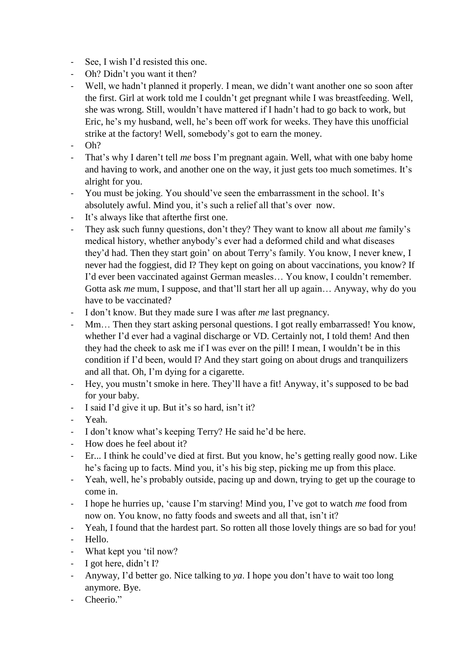- See, I wish I'd resisted this one.
- Oh? Didn't you want it then?
- Well, we hadn't planned it properly. I mean, we didn't want another one so soon after the first. Girl at work told me I couldn't get pregnant while I was breastfeeding. Well, she was wrong. Still, wouldn't have mattered if I hadn't had to go back to work, but Eric, he's my husband, well, he's been off work for weeks. They have this unofficial strike at the factory! Well, somebody's got to earn the money.
- $Oh?$
- That's why I daren't tell *me* boss I'm pregnant again. Well, what with one baby home and having to work, and another one on the way, it just gets too much sometimes. It's alright for you.
- You must be joking. You should've seen the embarrassment in the school. It's absolutely awful. Mind you, it's such a relief all that's over now.
- It's always like that after the first one.
- They ask such funny questions, don't they? They want to know all about *me* family's medical history, whether anybody's ever had a deformed child and what diseases they'd had. Then they start goin' on about Terry's family. You know, I never knew, I never had the foggiest, did I? They kept on going on about vaccinations, you know? If I'd ever been vaccinated against German measles… You know, I couldn't remember. Gotta ask *me* mum, I suppose, and that'll start her all up again… Anyway, why do you have to be vaccinated?
- I don't know. But they made sure I was after *me* last pregnancy.
- Mm... Then they start asking personal questions. I got really embarrassed! You know, whether I'd ever had a vaginal discharge or VD. Certainly not, I told them! And then they had the cheek to ask me if I was ever on the pill! I mean, I wouldn't be in this condition if I'd been, would I? And they start going on about drugs and tranquilizers and all that. Oh, I'm dying for a cigarette.
- Hey, you mustn't smoke in here. They'll have a fit! Anyway, it's supposed to be bad for your baby.
- I said I'd give it up. But it's so hard, isn't it?
- Yeah.
- I don't know what's keeping Terry? He said he'd be here.
- How does he feel about it?
- Er... I think he could've died at first. But you know, he's getting really good now. Like he's facing up to facts. Mind you, it's his big step, picking me up from this place.
- Yeah, well, he's probably outside, pacing up and down, trying to get up the courage to come in.
- I hope he hurries up, 'cause I'm starving! Mind you, I've got to watch *me* food from now on. You know, no fatty foods and sweets and all that, isn't it?
- Yeah, I found that the hardest part. So rotten all those lovely things are so bad for you! - Hello.
- 
- What kept you 'til now?
- I got here, didn't I?
- Anyway, I'd better go. Nice talking to *ya*. I hope you don't have to wait too long anymore. Bye.
- Cheerio."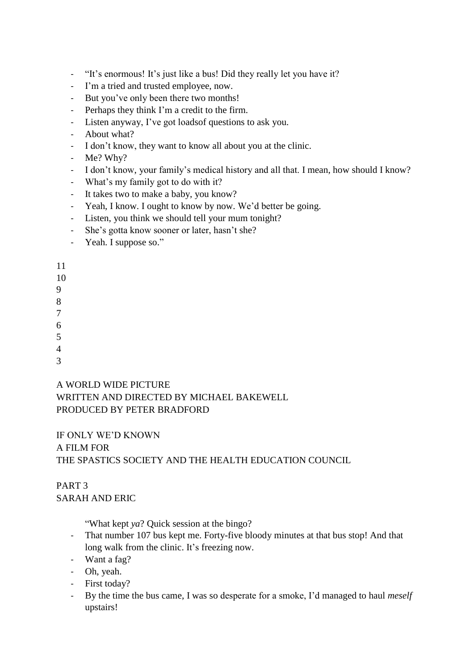- "It's enormous! It's just like a bus! Did they really let you have it?
- I'm a tried and trusted employee, now.
- But you've only been there two months!
- Perhaps they think I'm a credit to the firm.
- Listen anyway, I've got loadsof questions to ask you.
- About what?
- I don't know, they want to know all about you at the clinic.
- Me? Why?
- I don't know, your family's medical history and all that. I mean, how should I know?
- What's my family got to do with it?
- It takes two to make a baby, you know?
- Yeah, I know. I ought to know by now. We'd better be going.
- Listen, you think we should tell your mum tonight?
- She's gotta know sooner or later, hasn't she?
- Yeah. I suppose so."

11

- 10
- 9
- 8
- 7
- 6
- 5
- 4
- 3

#### A WORLD WIDE PICTURE

# WRITTEN AND DIRECTED BY MICHAEL BAKEWELL PRODUCED BY PETER BRADFORD

#### IF ONLY WE'D KNOWN A FILM FOR

# THE SPASTICS SOCIETY AND THE HEALTH EDUCATION COUNCIL

# PART 3 SARAH AND ERIC

"What kept *ya*? Quick session at the bingo?

- That number 107 bus kept me. Forty-five bloody minutes at that bus stop! And that long walk from the clinic. It's freezing now.
- Want a fag?
- Oh, yeah.
- First today?
- By the time the bus came, I was so desperate for a smoke, I'd managed to haul *meself* upstairs!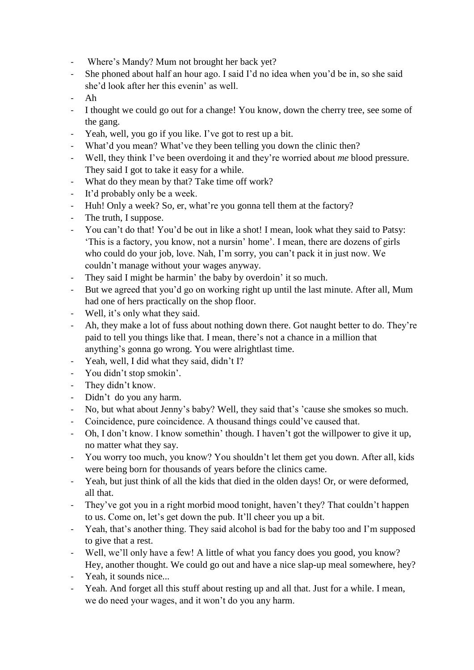- Where's Mandy? Mum not brought her back yet?
- She phoned about half an hour ago. I said I'd no idea when you'd be in, so she said she'd look after her this evenin' as well.
- Ah
- I thought we could go out for a change! You know, down the cherry tree, see some of the gang.
- Yeah, well, you go if you like. I've got to rest up a bit.
- What'd you mean? What've they been telling you down the clinic then?
- Well, they think I've been overdoing it and they're worried about *me* blood pressure. They said I got to take it easy for a while.
- What do they mean by that? Take time off work?
- It'd probably only be a week.
- Huh! Only a week? So, er, what're you gonna tell them at the factory?
- The truth, I suppose.
- You can't do that! You'd be out in like a shot! I mean, look what they said to Patsy: 'This is a factory, you know, not a nursin' home'. I mean, there are dozens of girls who could do your job, love. Nah, I'm sorry, you can't pack it in just now. We couldn't manage without your wages anyway.
- They said I might be harmin' the baby by overdoin' it so much.
- But we agreed that you'd go on working right up until the last minute. After all, Mum had one of hers practically on the shop floor.
- Well, it's only what they said.
- Ah, they make a lot of fuss about nothing down there. Got naught better to do. They're paid to tell you things like that. I mean, there's not a chance in a million that anything's gonna go wrong. You were alrightlast time.
- Yeah, well, I did what they said, didn't I?
- You didn't stop smokin'.
- They didn't know.
- Didn't do you any harm.
- No, but what about Jenny's baby? Well, they said that's 'cause she smokes so much.
- Coincidence, pure coincidence. A thousand things could've caused that.
- Oh, I don't know. I know somethin' though. I haven't got the willpower to give it up, no matter what they say.
- You worry too much, you know? You shouldn't let them get you down. After all, kids were being born for thousands of years before the clinics came.
- Yeah, but just think of all the kids that died in the olden days! Or, or were deformed, all that.
- They've got you in a right morbid mood tonight, haven't they? That couldn't happen to us. Come on, let's get down the pub. It'll cheer you up a bit.
- Yeah, that's another thing. They said alcohol is bad for the baby too and I'm supposed to give that a rest.
- Well, we'll only have a few! A little of what you fancy does you good, you know? Hey, another thought. We could go out and have a nice slap-up meal somewhere, hey?
- Yeah, it sounds nice...
- Yeah. And forget all this stuff about resting up and all that. Just for a while. I mean, we do need your wages, and it won't do you any harm.